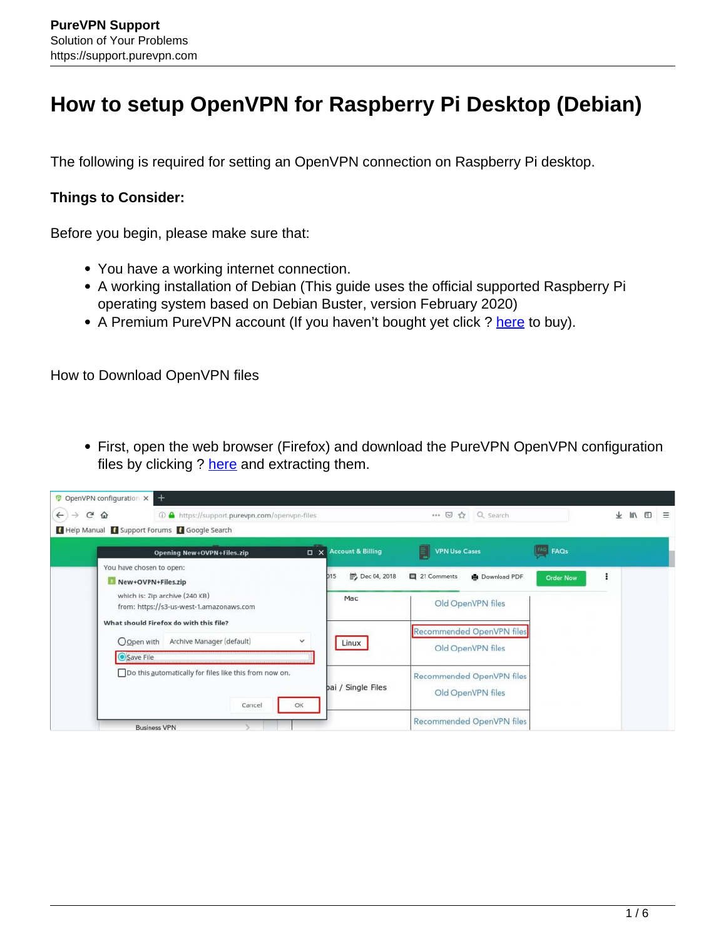## **How to setup OpenVPN for Raspberry Pi Desktop (Debian)**

The following is required for setting an OpenVPN connection on Raspberry Pi desktop.

## **Things to Consider:**

Before you begin, please make sure that:

- You have a working internet connection.
- A working installation of Debian (This guide uses the official supported Raspberry Pi operating system based on Debian Buster, version February 2020)
- A Premium PureVPN account (If you haven't bought yet click? [here](https://www.purevpn.com/order-now.php?utm_medium=referral&utm_source=aff-16817) to buy).

How to Download OpenVPN files

First, open the web browser (Firefox) and download the PureVPN OpenVPN configuration files by clicking ? here and extracting them.

| Opening New+OVPN+Files.zip                                                         | X Account & Billing              | <b>VPN Use Cases</b><br>EI | <b>FAQS</b>                                    |  |
|------------------------------------------------------------------------------------|----------------------------------|----------------------------|------------------------------------------------|--|
| You have chosen to open:<br>New+OVPN+Files.zip                                     | <sup>第</sup> Dec 04, 2018<br>D15 | 目 21 Comments              | ÷<br><b>■</b> Download PDF<br><b>Order Now</b> |  |
| which is: Zip archive (240 KB)<br>from: https://s3-us-west-1.amazonaws.com         | Mac                              | Old OpenVPN files          |                                                |  |
| What should Firefox do with this file?<br>Archive Manager (default)<br>O Open with | $\checkmark$<br>Linux            | Recommended OpenVPN files  |                                                |  |
| Save File                                                                          |                                  | Old OpenVPN files          |                                                |  |
| Do this automatically for files like this from now on.                             | bai / Single Files               | Recommended OpenVPN files  |                                                |  |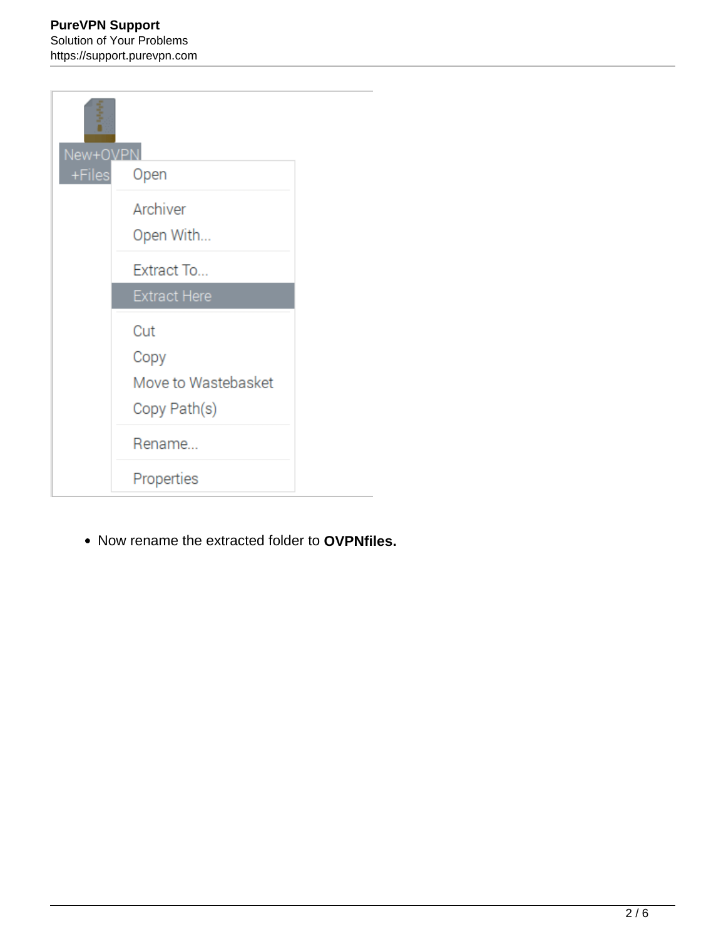| New+OVPN |                     |  |
|----------|---------------------|--|
|          | +Files Open         |  |
|          | Archiver            |  |
|          | Open With           |  |
|          | Extract To          |  |
|          | <b>Extract Here</b> |  |
|          | Cut                 |  |
|          | Copy                |  |
|          | Move to Wastebasket |  |
|          | Copy Path(s)        |  |
|          | Rename              |  |
|          | Properties          |  |

Now rename the extracted folder to **OVPNfiles.**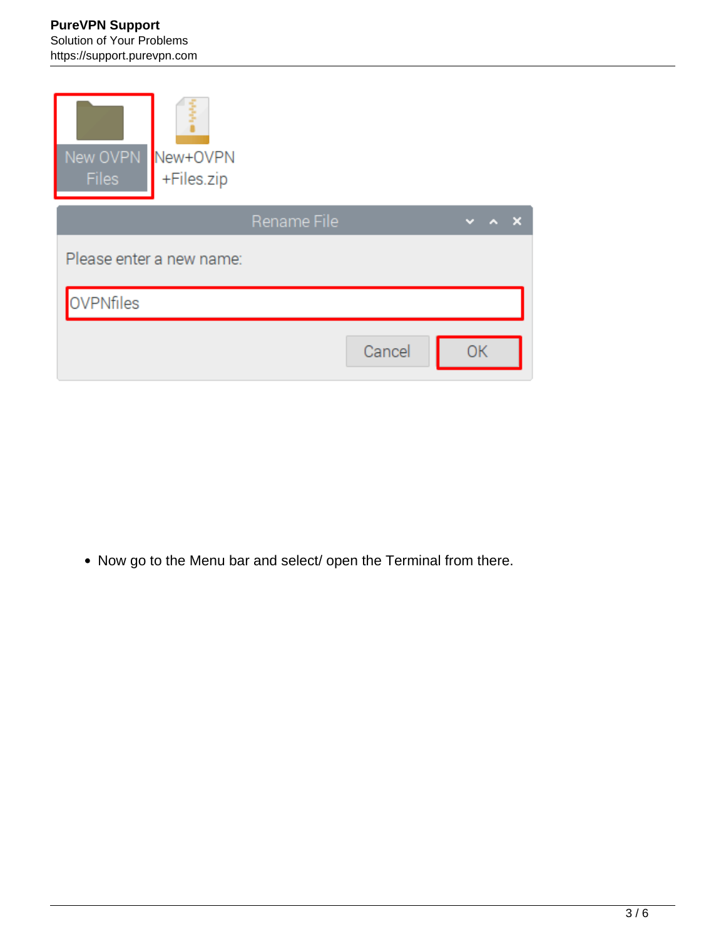## **PureVPN Support** Solution of Your Problems https://support.purevpn.com

| New OVPN New+OVPN<br><b>Files</b><br>+Files.zip |             |           |
|-------------------------------------------------|-------------|-----------|
|                                                 | Rename File | ×         |
| Please enter a new name:                        |             |           |
| <b>OVPNfiles</b>                                |             |           |
|                                                 | Cancel      | <b>OK</b> |

• Now go to the Menu bar and select/ open the Terminal from there.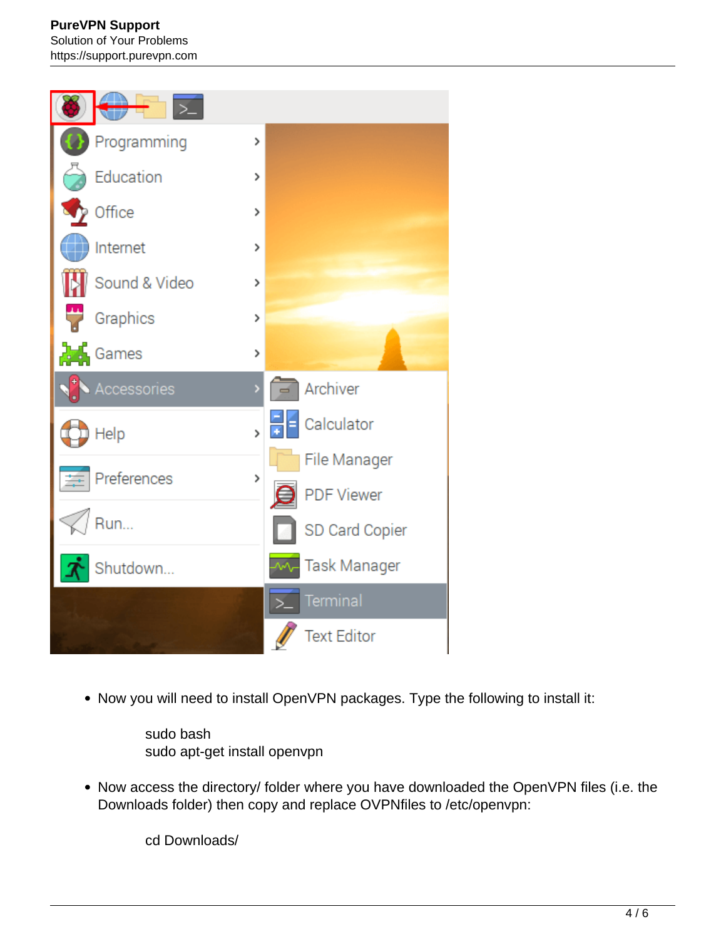## **PureVPN Support** Solution of Your Problems https://support.purevpn.com



• Now you will need to install OpenVPN packages. Type the following to install it:

sudo bash sudo apt-get install openvpn

• Now access the directory/ folder where you have downloaded the OpenVPN files (i.e. the Downloads folder) then copy and replace OVPNfiles to /etc/openvpn:

cd Downloads/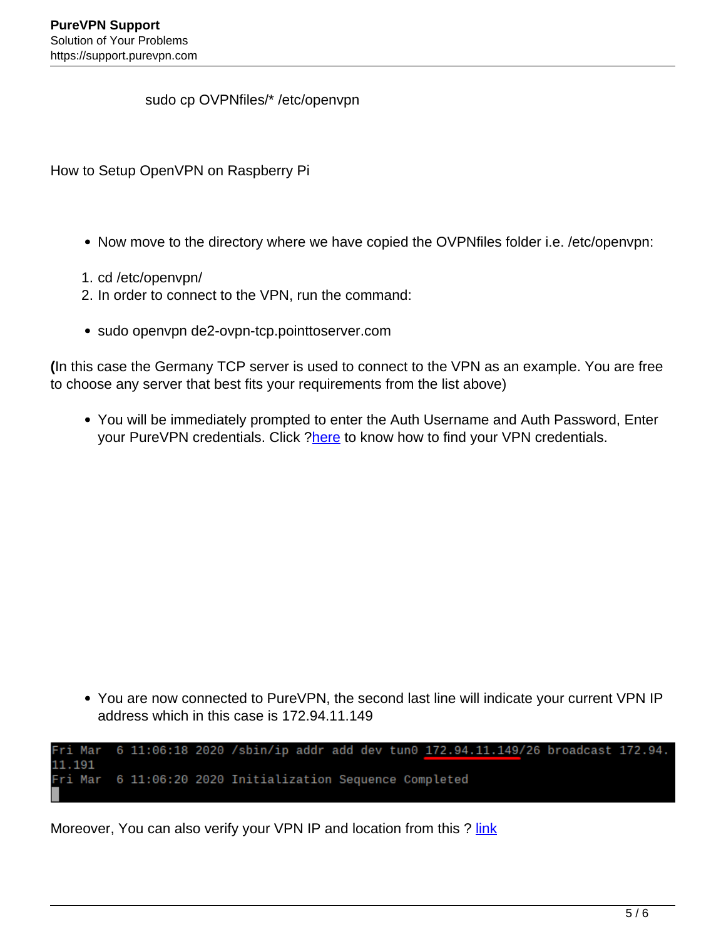sudo cp OVPNfiles/\* /etc/openvpn

How to Setup OpenVPN on Raspberry Pi

- Now move to the directory where we have copied the OVPN files folder i.e. /etc/openvpn:
- 1. cd /etc/openvpn/
- 2. In order to connect to the VPN, run the command:
- sudo openvpn de2-ovpn-tcp.pointtoserver.com

**(**In this case the Germany TCP server is used to connect to the VPN as an example. You are free to choose any server that best fits your requirements from the list above)

You will be immediately prompted to enter the Auth Username and Auth Password, Enter your PureVPN credentials. Click ?here to know how to find your VPN credentials.

You are now connected to PureVPN, the second last line will indicate your current VPN IP address which in this case is 172.94.11.149

6 11:06:18 2020 /sbin/ip addr add dev tun0 172.94.11.149/26 broadcast 172.94. Fri Mar 11.191 6 11:06:20 2020 Initialization Sequence Completed Fri Mar

Moreover, You can also verify your VPN IP and location from this ? link